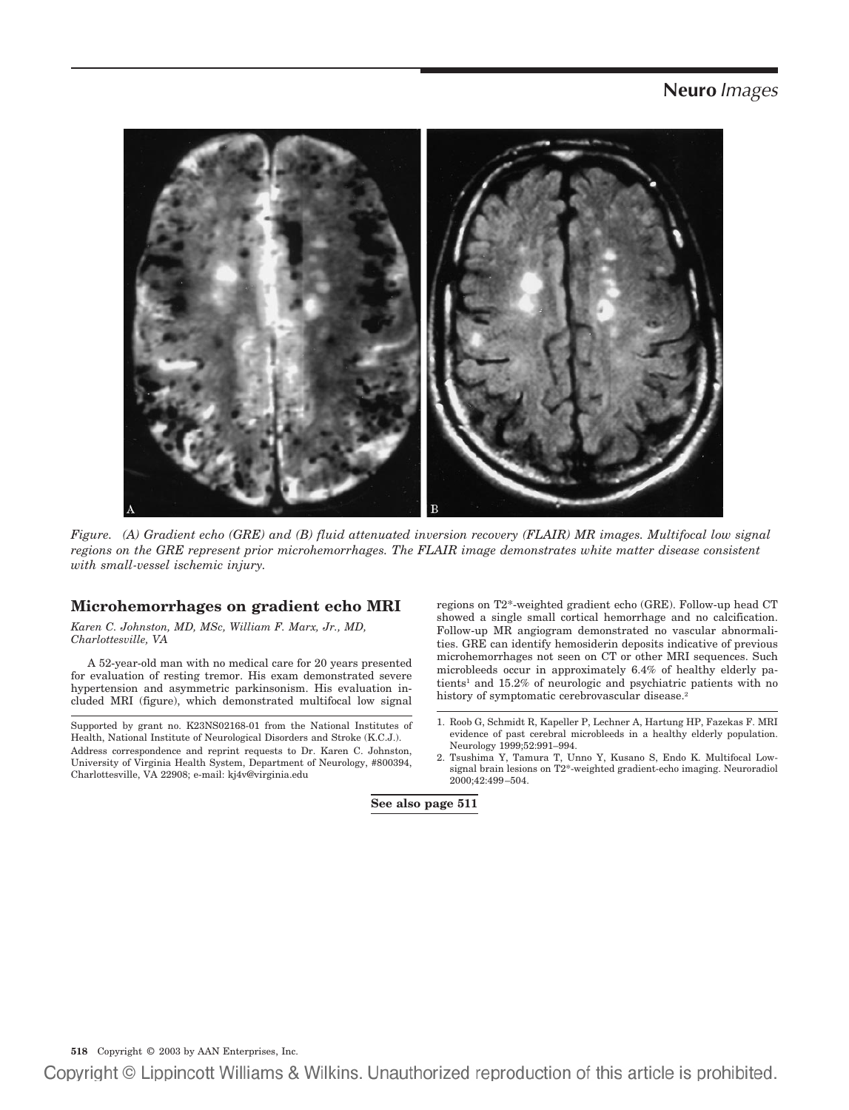

*Figure. (A) Gradient echo (GRE) and (B) fluid attenuated inversion recovery (FLAIR) MR images. Multifocal low signal regions on the GRE represent prior microhemorrhages. The FLAIR image demonstrates white matter disease consistent with small-vessel ischemic injury.*

## **Microhemorrhages on gradient echo MRI**

*Karen C. Johnston, MD, MSc, William F. Marx, Jr., MD, Charlottesville, VA*

A 52-year-old man with no medical care for 20 years presented for evaluation of resting tremor. His exam demonstrated severe hypertension and asymmetric parkinsonism. His evaluation included MRI (figure), which demonstrated multifocal low signal

Supported by grant no. K23NS02168-01 from the National Institutes of Health, National Institute of Neurological Disorders and Stroke (K.C.J.). Address correspondence and reprint requests to Dr. Karen C. Johnston, University of Virginia Health System, Department of Neurology, #800394, Charlottesville, VA 22908; e-mail: kj4v@virginia.edu

regions on T2\*-weighted gradient echo (GRE). Follow-up head CT showed a single small cortical hemorrhage and no calcification. Follow-up MR angiogram demonstrated no vascular abnormalities. GRE can identify hemosiderin deposits indicative of previous microhemorrhages not seen on CT or other MRI sequences. Such microbleeds occur in approximately 6.4% of healthy elderly patients<sup>1</sup> and  $15.2\%$  of neurologic and psychiatric patients with no history of symptomatic cerebrovascular disease.<sup>2</sup>

2. Tsushima Y, Tamura T, Unno Y, Kusano S, Endo K. Multifocal Lowsignal brain lesions on T2\*-weighted gradient-echo imaging. Neuroradiol 2000;42:499–504.

**See also page 511**

**518** Copyright © 2003 by AAN Enterprises, Inc.

Copyright © Lippincott Williams & Wilkins. Unauthorized reproduction of this article is prohibited.

<sup>1.</sup> Roob G, Schmidt R, Kapeller P, Lechner A, Hartung HP, Fazekas F. MRI evidence of past cerebral microbleeds in a healthy elderly population. Neurology 1999;52:991–994.